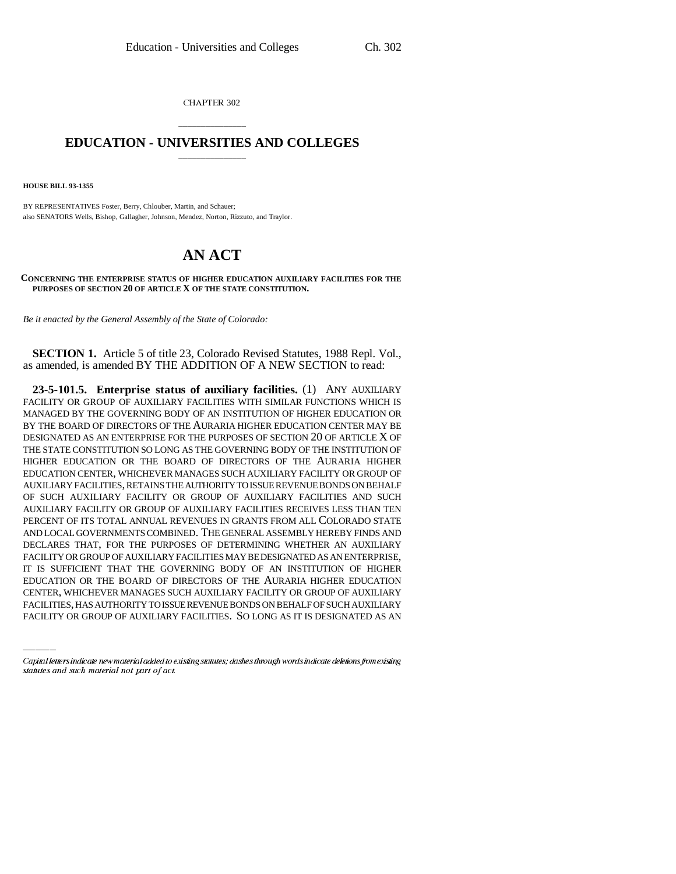CHAPTER 302

## \_\_\_\_\_\_\_\_\_\_\_\_\_\_\_ **EDUCATION - UNIVERSITIES AND COLLEGES** \_\_\_\_\_\_\_\_\_\_\_\_\_\_\_

**HOUSE BILL 93-1355**

BY REPRESENTATIVES Foster, Berry, Chlouber, Martin, and Schauer; also SENATORS Wells, Bishop, Gallagher, Johnson, Mendez, Norton, Rizzuto, and Traylor.

## **AN ACT**

**CONCERNING THE ENTERPRISE STATUS OF HIGHER EDUCATION AUXILIARY FACILITIES FOR THE PURPOSES OF SECTION 20 OF ARTICLE X OF THE STATE CONSTITUTION.**

*Be it enacted by the General Assembly of the State of Colorado:*

**SECTION 1.** Article 5 of title 23, Colorado Revised Statutes, 1988 Repl. Vol., as amended, is amended BY THE ADDITION OF A NEW SECTION to read:

IT IS SUFFICIENT THAT THE GOVERNING BODY OF AN INSTITUTION OF HIGHER **23-5-101.5. Enterprise status of auxiliary facilities.** (1) ANY AUXILIARY FACILITY OR GROUP OF AUXILIARY FACILITIES WITH SIMILAR FUNCTIONS WHICH IS MANAGED BY THE GOVERNING BODY OF AN INSTITUTION OF HIGHER EDUCATION OR BY THE BOARD OF DIRECTORS OF THE AURARIA HIGHER EDUCATION CENTER MAY BE DESIGNATED AS AN ENTERPRISE FOR THE PURPOSES OF SECTION 20 OF ARTICLE X OF THE STATE CONSTITUTION SO LONG AS THE GOVERNING BODY OF THE INSTITUTION OF HIGHER EDUCATION OR THE BOARD OF DIRECTORS OF THE AURARIA HIGHER EDUCATION CENTER, WHICHEVER MANAGES SUCH AUXILIARY FACILITY OR GROUP OF AUXILIARY FACILITIES, RETAINS THE AUTHORITY TO ISSUE REVENUE BONDS ON BEHALF OF SUCH AUXILIARY FACILITY OR GROUP OF AUXILIARY FACILITIES AND SUCH AUXILIARY FACILITY OR GROUP OF AUXILIARY FACILITIES RECEIVES LESS THAN TEN PERCENT OF ITS TOTAL ANNUAL REVENUES IN GRANTS FROM ALL COLORADO STATE AND LOCAL GOVERNMENTS COMBINED. THE GENERAL ASSEMBLY HEREBY FINDS AND DECLARES THAT, FOR THE PURPOSES OF DETERMINING WHETHER AN AUXILIARY FACILITY OR GROUP OF AUXILIARY FACILITIES MAY BE DESIGNATED AS AN ENTERPRISE, EDUCATION OR THE BOARD OF DIRECTORS OF THE AURARIA HIGHER EDUCATION CENTER, WHICHEVER MANAGES SUCH AUXILIARY FACILITY OR GROUP OF AUXILIARY FACILITIES, HAS AUTHORITY TO ISSUE REVENUE BONDS ON BEHALF OF SUCH AUXILIARY FACILITY OR GROUP OF AUXILIARY FACILITIES. SO LONG AS IT IS DESIGNATED AS AN

Capital letters indicate new material added to existing statutes; dashes through words indicate deletions from existing statutes and such material not part of act.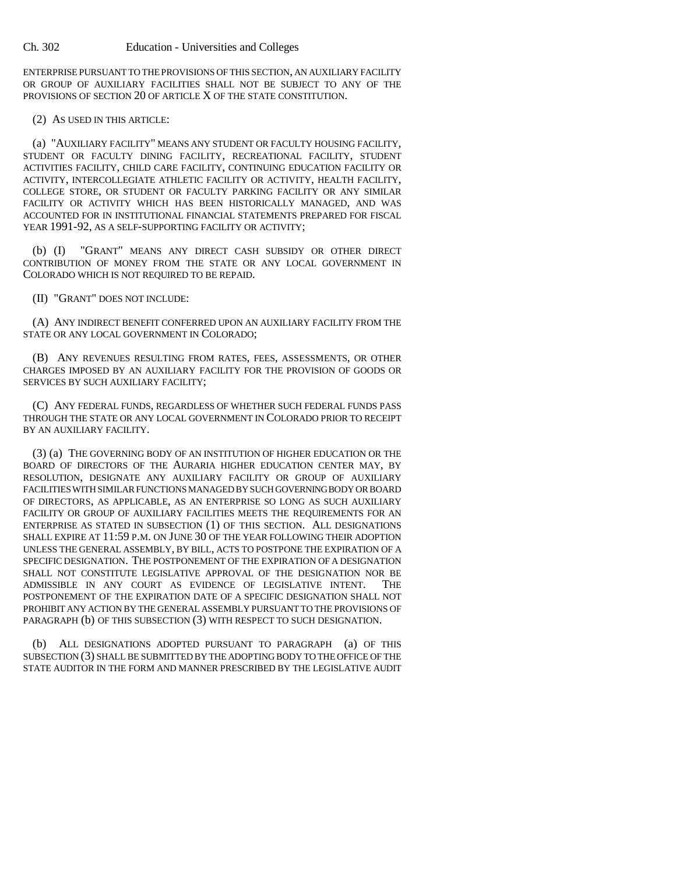ENTERPRISE PURSUANT TO THE PROVISIONS OF THIS SECTION, AN AUXILIARY FACILITY OR GROUP OF AUXILIARY FACILITIES SHALL NOT BE SUBJECT TO ANY OF THE PROVISIONS OF SECTION 20 OF ARTICLE X OF THE STATE CONSTITUTION.

(2) AS USED IN THIS ARTICLE:

(a) "AUXILIARY FACILITY" MEANS ANY STUDENT OR FACULTY HOUSING FACILITY, STUDENT OR FACULTY DINING FACILITY, RECREATIONAL FACILITY, STUDENT ACTIVITIES FACILITY, CHILD CARE FACILITY, CONTINUING EDUCATION FACILITY OR ACTIVITY, INTERCOLLEGIATE ATHLETIC FACILITY OR ACTIVITY, HEALTH FACILITY, COLLEGE STORE, OR STUDENT OR FACULTY PARKING FACILITY OR ANY SIMILAR FACILITY OR ACTIVITY WHICH HAS BEEN HISTORICALLY MANAGED, AND WAS ACCOUNTED FOR IN INSTITUTIONAL FINANCIAL STATEMENTS PREPARED FOR FISCAL YEAR 1991-92, AS A SELF-SUPPORTING FACILITY OR ACTIVITY;

(b) (I) "GRANT" MEANS ANY DIRECT CASH SUBSIDY OR OTHER DIRECT CONTRIBUTION OF MONEY FROM THE STATE OR ANY LOCAL GOVERNMENT IN COLORADO WHICH IS NOT REQUIRED TO BE REPAID.

(II) "GRANT" DOES NOT INCLUDE:

(A) ANY INDIRECT BENEFIT CONFERRED UPON AN AUXILIARY FACILITY FROM THE STATE OR ANY LOCAL GOVERNMENT IN COLORADO;

(B) ANY REVENUES RESULTING FROM RATES, FEES, ASSESSMENTS, OR OTHER CHARGES IMPOSED BY AN AUXILIARY FACILITY FOR THE PROVISION OF GOODS OR SERVICES BY SUCH AUXILIARY FACILITY;

(C) ANY FEDERAL FUNDS, REGARDLESS OF WHETHER SUCH FEDERAL FUNDS PASS THROUGH THE STATE OR ANY LOCAL GOVERNMENT IN COLORADO PRIOR TO RECEIPT BY AN AUXILIARY FACILITY.

(3) (a) THE GOVERNING BODY OF AN INSTITUTION OF HIGHER EDUCATION OR THE BOARD OF DIRECTORS OF THE AURARIA HIGHER EDUCATION CENTER MAY, BY RESOLUTION, DESIGNATE ANY AUXILIARY FACILITY OR GROUP OF AUXILIARY FACILITIES WITH SIMILAR FUNCTIONS MANAGED BY SUCH GOVERNING BODY OR BOARD OF DIRECTORS, AS APPLICABLE, AS AN ENTERPRISE SO LONG AS SUCH AUXILIARY FACILITY OR GROUP OF AUXILIARY FACILITIES MEETS THE REQUIREMENTS FOR AN ENTERPRISE AS STATED IN SUBSECTION (1) OF THIS SECTION. ALL DESIGNATIONS SHALL EXPIRE AT 11:59 P.M. ON JUNE 30 OF THE YEAR FOLLOWING THEIR ADOPTION UNLESS THE GENERAL ASSEMBLY, BY BILL, ACTS TO POSTPONE THE EXPIRATION OF A SPECIFIC DESIGNATION. THE POSTPONEMENT OF THE EXPIRATION OF A DESIGNATION SHALL NOT CONSTITUTE LEGISLATIVE APPROVAL OF THE DESIGNATION NOR BE ADMISSIBLE IN ANY COURT AS EVIDENCE OF LEGISLATIVE INTENT. THE POSTPONEMENT OF THE EXPIRATION DATE OF A SPECIFIC DESIGNATION SHALL NOT PROHIBIT ANY ACTION BY THE GENERAL ASSEMBLY PURSUANT TO THE PROVISIONS OF PARAGRAPH (b) OF THIS SUBSECTION (3) WITH RESPECT TO SUCH DESIGNATION.

(b) ALL DESIGNATIONS ADOPTED PURSUANT TO PARAGRAPH (a) OF THIS SUBSECTION (3) SHALL BE SUBMITTED BY THE ADOPTING BODY TO THE OFFICE OF THE STATE AUDITOR IN THE FORM AND MANNER PRESCRIBED BY THE LEGISLATIVE AUDIT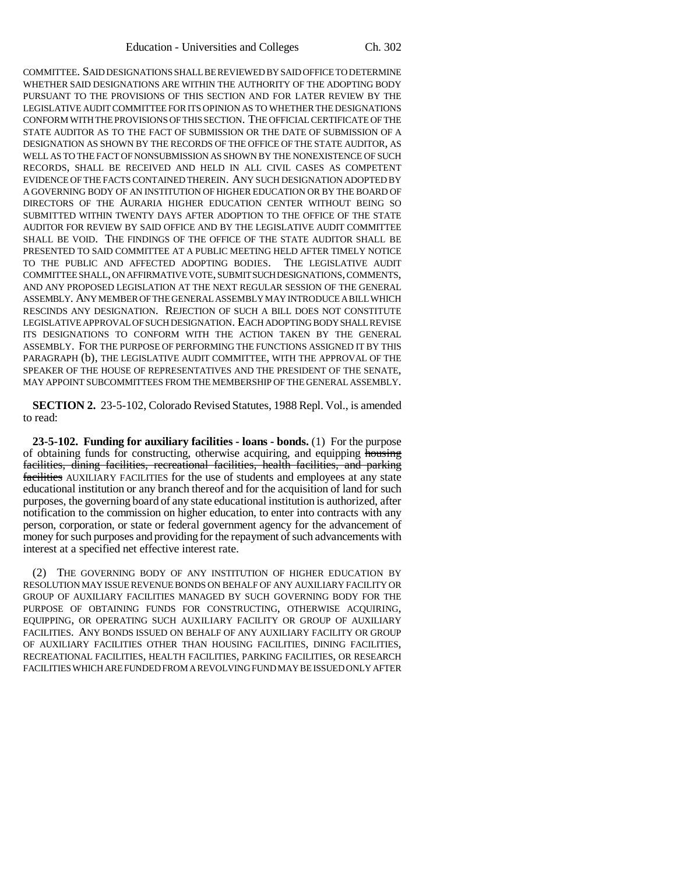COMMITTEE. SAID DESIGNATIONS SHALL BE REVIEWED BY SAID OFFICE TO DETERMINE WHETHER SAID DESIGNATIONS ARE WITHIN THE AUTHORITY OF THE ADOPTING BODY PURSUANT TO THE PROVISIONS OF THIS SECTION AND FOR LATER REVIEW BY THE LEGISLATIVE AUDIT COMMITTEE FOR ITS OPINION AS TO WHETHER THE DESIGNATIONS CONFORM WITH THE PROVISIONS OF THIS SECTION. THE OFFICIAL CERTIFICATE OF THE STATE AUDITOR AS TO THE FACT OF SUBMISSION OR THE DATE OF SUBMISSION OF A DESIGNATION AS SHOWN BY THE RECORDS OF THE OFFICE OF THE STATE AUDITOR, AS WELL AS TO THE FACT OF NONSUBMISSION AS SHOWN BY THE NONEXISTENCE OF SUCH RECORDS, SHALL BE RECEIVED AND HELD IN ALL CIVIL CASES AS COMPETENT EVIDENCE OF THE FACTS CONTAINED THEREIN. ANY SUCH DESIGNATION ADOPTED BY A GOVERNING BODY OF AN INSTITUTION OF HIGHER EDUCATION OR BY THE BOARD OF DIRECTORS OF THE AURARIA HIGHER EDUCATION CENTER WITHOUT BEING SO SUBMITTED WITHIN TWENTY DAYS AFTER ADOPTION TO THE OFFICE OF THE STATE AUDITOR FOR REVIEW BY SAID OFFICE AND BY THE LEGISLATIVE AUDIT COMMITTEE SHALL BE VOID. THE FINDINGS OF THE OFFICE OF THE STATE AUDITOR SHALL BE PRESENTED TO SAID COMMITTEE AT A PUBLIC MEETING HELD AFTER TIMELY NOTICE TO THE PUBLIC AND AFFECTED ADOPTING BODIES. THE LEGISLATIVE AUDIT COMMITTEE SHALL, ON AFFIRMATIVE VOTE, SUBMIT SUCH DESIGNATIONS, COMMENTS, AND ANY PROPOSED LEGISLATION AT THE NEXT REGULAR SESSION OF THE GENERAL ASSEMBLY. ANY MEMBER OF THE GENERAL ASSEMBLY MAY INTRODUCE A BILL WHICH RESCINDS ANY DESIGNATION. REJECTION OF SUCH A BILL DOES NOT CONSTITUTE LEGISLATIVE APPROVAL OF SUCH DESIGNATION. EACH ADOPTING BODY SHALL REVISE ITS DESIGNATIONS TO CONFORM WITH THE ACTION TAKEN BY THE GENERAL ASSEMBLY. FOR THE PURPOSE OF PERFORMING THE FUNCTIONS ASSIGNED IT BY THIS PARAGRAPH (b), THE LEGISLATIVE AUDIT COMMITTEE, WITH THE APPROVAL OF THE SPEAKER OF THE HOUSE OF REPRESENTATIVES AND THE PRESIDENT OF THE SENATE, MAY APPOINT SUBCOMMITTEES FROM THE MEMBERSHIP OF THE GENERAL ASSEMBLY.

**SECTION 2.** 23-5-102, Colorado Revised Statutes, 1988 Repl. Vol., is amended to read:

**23-5-102. Funding for auxiliary facilities - loans - bonds.** (1) For the purpose of obtaining funds for constructing, otherwise acquiring, and equipping housing facilities, dining facilities, recreational facilities, health facilities, and parking facilities AUXILIARY FACILITIES for the use of students and employees at any state educational institution or any branch thereof and for the acquisition of land for such purposes, the governing board of any state educational institution is authorized, after notification to the commission on higher education, to enter into contracts with any person, corporation, or state or federal government agency for the advancement of money for such purposes and providing for the repayment of such advancements with interest at a specified net effective interest rate.

(2) THE GOVERNING BODY OF ANY INSTITUTION OF HIGHER EDUCATION BY RESOLUTION MAY ISSUE REVENUE BONDS ON BEHALF OF ANY AUXILIARY FACILITY OR GROUP OF AUXILIARY FACILITIES MANAGED BY SUCH GOVERNING BODY FOR THE PURPOSE OF OBTAINING FUNDS FOR CONSTRUCTING, OTHERWISE ACQUIRING, EQUIPPING, OR OPERATING SUCH AUXILIARY FACILITY OR GROUP OF AUXILIARY FACILITIES. ANY BONDS ISSUED ON BEHALF OF ANY AUXILIARY FACILITY OR GROUP OF AUXILIARY FACILITIES OTHER THAN HOUSING FACILITIES, DINING FACILITIES, RECREATIONAL FACILITIES, HEALTH FACILITIES, PARKING FACILITIES, OR RESEARCH FACILITIES WHICH ARE FUNDED FROM A REVOLVING FUND MAY BE ISSUED ONLY AFTER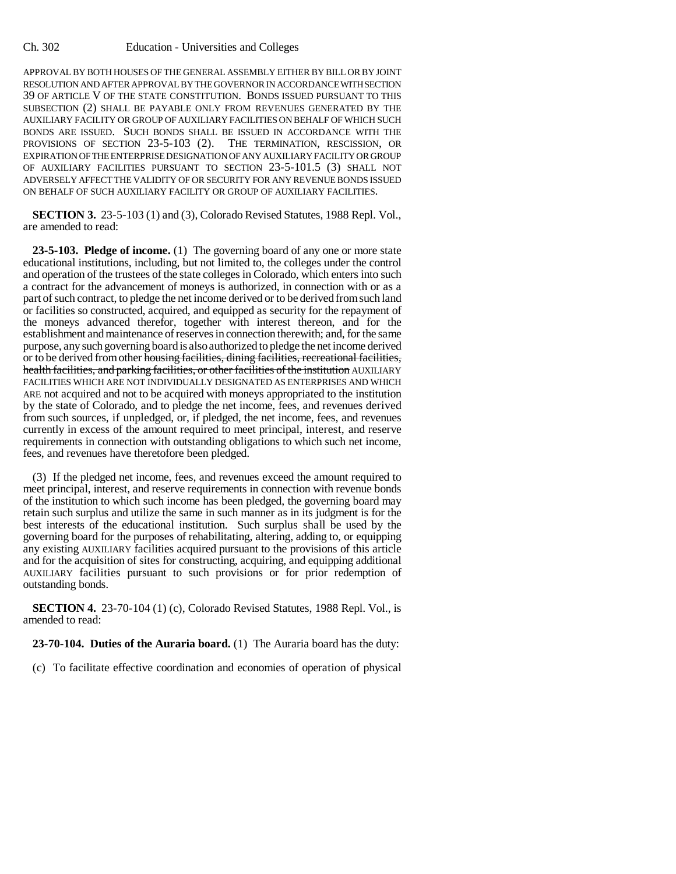## Ch. 302 Education - Universities and Colleges

APPROVAL BY BOTH HOUSES OF THE GENERAL ASSEMBLY EITHER BY BILL OR BY JOINT RESOLUTION AND AFTER APPROVAL BY THE GOVERNOR IN ACCORDANCE WITH SECTION 39 OF ARTICLE V OF THE STATE CONSTITUTION. BONDS ISSUED PURSUANT TO THIS SUBSECTION (2) SHALL BE PAYABLE ONLY FROM REVENUES GENERATED BY THE AUXILIARY FACILITY OR GROUP OF AUXILIARY FACILITIES ON BEHALF OF WHICH SUCH BONDS ARE ISSUED. SUCH BONDS SHALL BE ISSUED IN ACCORDANCE WITH THE PROVISIONS OF SECTION 23-5-103 (2). THE TERMINATION, RESCISSION, OR EXPIRATION OF THE ENTERPRISE DESIGNATION OF ANY AUXILIARY FACILITY OR GROUP OF AUXILIARY FACILITIES PURSUANT TO SECTION 23-5-101.5 (3) SHALL NOT ADVERSELY AFFECT THE VALIDITY OF OR SECURITY FOR ANY REVENUE BONDS ISSUED ON BEHALF OF SUCH AUXILIARY FACILITY OR GROUP OF AUXILIARY FACILITIES.

**SECTION 3.** 23-5-103 (1) and (3), Colorado Revised Statutes, 1988 Repl. Vol., are amended to read:

**23-5-103. Pledge of income.** (1) The governing board of any one or more state educational institutions, including, but not limited to, the colleges under the control and operation of the trustees of the state colleges in Colorado, which enters into such a contract for the advancement of moneys is authorized, in connection with or as a part of such contract, to pledge the net income derived or to be derived from such land or facilities so constructed, acquired, and equipped as security for the repayment of the moneys advanced therefor, together with interest thereon, and for the establishment and maintenance of reserves in connection therewith; and, for the same purpose, any such governing board is also authorized to pledge the net income derived or to be derived from other housing facilities, dining facilities, recreational facilities, health facilities, and parking facilities, or other facilities of the institution AUXILIARY FACILITIES WHICH ARE NOT INDIVIDUALLY DESIGNATED AS ENTERPRISES AND WHICH ARE not acquired and not to be acquired with moneys appropriated to the institution by the state of Colorado, and to pledge the net income, fees, and revenues derived from such sources, if unpledged, or, if pledged, the net income, fees, and revenues currently in excess of the amount required to meet principal, interest, and reserve requirements in connection with outstanding obligations to which such net income, fees, and revenues have theretofore been pledged.

(3) If the pledged net income, fees, and revenues exceed the amount required to meet principal, interest, and reserve requirements in connection with revenue bonds of the institution to which such income has been pledged, the governing board may retain such surplus and utilize the same in such manner as in its judgment is for the best interests of the educational institution. Such surplus shall be used by the governing board for the purposes of rehabilitating, altering, adding to, or equipping any existing AUXILIARY facilities acquired pursuant to the provisions of this article and for the acquisition of sites for constructing, acquiring, and equipping additional AUXILIARY facilities pursuant to such provisions or for prior redemption of outstanding bonds.

**SECTION 4.** 23-70-104 (1) (c), Colorado Revised Statutes, 1988 Repl. Vol., is amended to read:

**23-70-104. Duties of the Auraria board.** (1) The Auraria board has the duty:

(c) To facilitate effective coordination and economies of operation of physical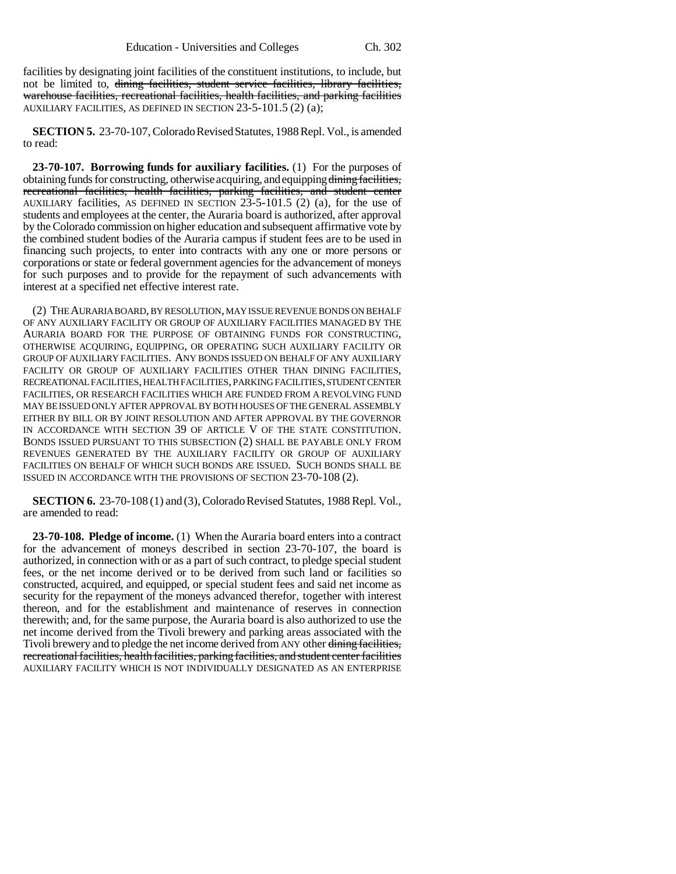facilities by designating joint facilities of the constituent institutions, to include, but not be limited to, dining facilities, student service facilities, library facilities, warehouse facilities, recreational facilities, health facilities, and parking facilities AUXILIARY FACILITIES, AS DEFINED IN SECTION  $23-5-101.5$  (2) (a);

**SECTION 5.** 23-70-107, Colorado Revised Statutes, 1988 Repl. Vol., is amended to read:

**23-70-107. Borrowing funds for auxiliary facilities.** (1) For the purposes of obtaining funds for constructing, otherwise acquiring, and equipping dining facilities, recreational facilities, health facilities, parking facilities, and student center AUXILIARY facilities, AS DEFINED IN SECTION  $2\overline{3}$ -5-101.5 (2) (a), for the use of students and employees at the center, the Auraria board is authorized, after approval by the Colorado commission on higher education and subsequent affirmative vote by the combined student bodies of the Auraria campus if student fees are to be used in financing such projects, to enter into contracts with any one or more persons or corporations or state or federal government agencies for the advancement of moneys for such purposes and to provide for the repayment of such advancements with interest at a specified net effective interest rate.

(2) THE AURARIA BOARD, BY RESOLUTION, MAY ISSUE REVENUE BONDS ON BEHALF OF ANY AUXILIARY FACILITY OR GROUP OF AUXILIARY FACILITIES MANAGED BY THE AURARIA BOARD FOR THE PURPOSE OF OBTAINING FUNDS FOR CONSTRUCTING, OTHERWISE ACQUIRING, EQUIPPING, OR OPERATING SUCH AUXILIARY FACILITY OR GROUP OF AUXILIARY FACILITIES. ANY BONDS ISSUED ON BEHALF OF ANY AUXILIARY FACILITY OR GROUP OF AUXILIARY FACILITIES OTHER THAN DINING FACILITIES, RECREATIONAL FACILITIES, HEALTH FACILITIES, PARKING FACILITIES, STUDENT CENTER FACILITIES, OR RESEARCH FACILITIES WHICH ARE FUNDED FROM A REVOLVING FUND MAY BE ISSUED ONLY AFTER APPROVAL BY BOTH HOUSES OF THE GENERAL ASSEMBLY EITHER BY BILL OR BY JOINT RESOLUTION AND AFTER APPROVAL BY THE GOVERNOR IN ACCORDANCE WITH SECTION 39 OF ARTICLE V OF THE STATE CONSTITUTION. BONDS ISSUED PURSUANT TO THIS SUBSECTION (2) SHALL BE PAYABLE ONLY FROM REVENUES GENERATED BY THE AUXILIARY FACILITY OR GROUP OF AUXILIARY FACILITIES ON BEHALF OF WHICH SUCH BONDS ARE ISSUED. SUCH BONDS SHALL BE ISSUED IN ACCORDANCE WITH THE PROVISIONS OF SECTION 23-70-108 (2).

**SECTION 6.** 23-70-108 (1) and (3), Colorado Revised Statutes, 1988 Repl. Vol., are amended to read:

**23-70-108. Pledge of income.** (1) When the Auraria board enters into a contract for the advancement of moneys described in section 23-70-107, the board is authorized, in connection with or as a part of such contract, to pledge special student fees, or the net income derived or to be derived from such land or facilities so constructed, acquired, and equipped, or special student fees and said net income as security for the repayment of the moneys advanced therefor, together with interest thereon, and for the establishment and maintenance of reserves in connection therewith; and, for the same purpose, the Auraria board is also authorized to use the net income derived from the Tivoli brewery and parking areas associated with the Tivoli brewery and to pledge the net income derived from ANY other dining facilities, recreational facilities, health facilities, parking facilities, and student center facilities AUXILIARY FACILITY WHICH IS NOT INDIVIDUALLY DESIGNATED AS AN ENTERPRISE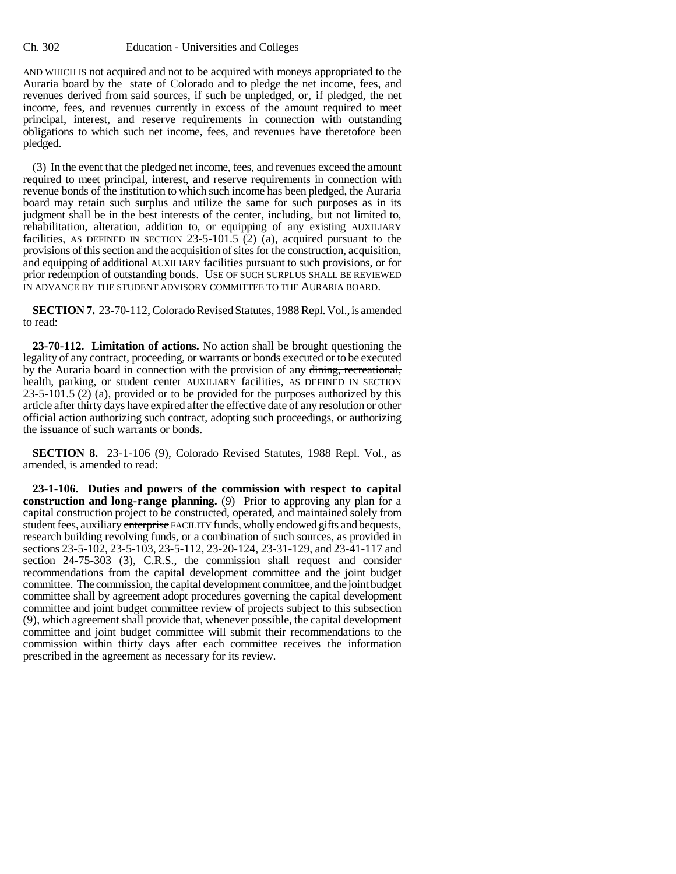AND WHICH IS not acquired and not to be acquired with moneys appropriated to the Auraria board by the state of Colorado and to pledge the net income, fees, and revenues derived from said sources, if such be unpledged, or, if pledged, the net income, fees, and revenues currently in excess of the amount required to meet principal, interest, and reserve requirements in connection with outstanding obligations to which such net income, fees, and revenues have theretofore been pledged.

(3) In the event that the pledged net income, fees, and revenues exceed the amount required to meet principal, interest, and reserve requirements in connection with revenue bonds of the institution to which such income has been pledged, the Auraria board may retain such surplus and utilize the same for such purposes as in its judgment shall be in the best interests of the center, including, but not limited to, rehabilitation, alteration, addition to, or equipping of any existing AUXILIARY facilities, AS DEFINED IN SECTION 23-5-101.5 (2) (a), acquired pursuant to the provisions of this section and the acquisition of sites for the construction, acquisition, and equipping of additional AUXILIARY facilities pursuant to such provisions, or for prior redemption of outstanding bonds. USE OF SUCH SURPLUS SHALL BE REVIEWED IN ADVANCE BY THE STUDENT ADVISORY COMMITTEE TO THE AURARIA BOARD.

**SECTION 7.** 23-70-112, Colorado Revised Statutes, 1988 Repl. Vol., is amended to read:

**23-70-112. Limitation of actions.** No action shall be brought questioning the legality of any contract, proceeding, or warrants or bonds executed or to be executed by the Auraria board in connection with the provision of any dining, recreational, health, parking, or student center AUXILIARY facilities, AS DEFINED IN SECTION 23-5-101.5 (2) (a), provided or to be provided for the purposes authorized by this article after thirty days have expired after the effective date of any resolution or other official action authorizing such contract, adopting such proceedings, or authorizing the issuance of such warrants or bonds.

**SECTION 8.** 23-1-106 (9), Colorado Revised Statutes, 1988 Repl. Vol., as amended, is amended to read:

**23-1-106. Duties and powers of the commission with respect to capital construction and long-range planning.** (9) Prior to approving any plan for a capital construction project to be constructed, operated, and maintained solely from student fees, auxiliary enterprise FACILITY funds, wholly endowed gifts and bequests, research building revolving funds, or a combination of such sources, as provided in sections 23-5-102, 23-5-103, 23-5-112, 23-20-124, 23-31-129, and 23-41-117 and section 24-75-303 (3), C.R.S., the commission shall request and consider recommendations from the capital development committee and the joint budget committee. The commission, the capital development committee, and the joint budget committee shall by agreement adopt procedures governing the capital development committee and joint budget committee review of projects subject to this subsection (9), which agreement shall provide that, whenever possible, the capital development committee and joint budget committee will submit their recommendations to the commission within thirty days after each committee receives the information prescribed in the agreement as necessary for its review.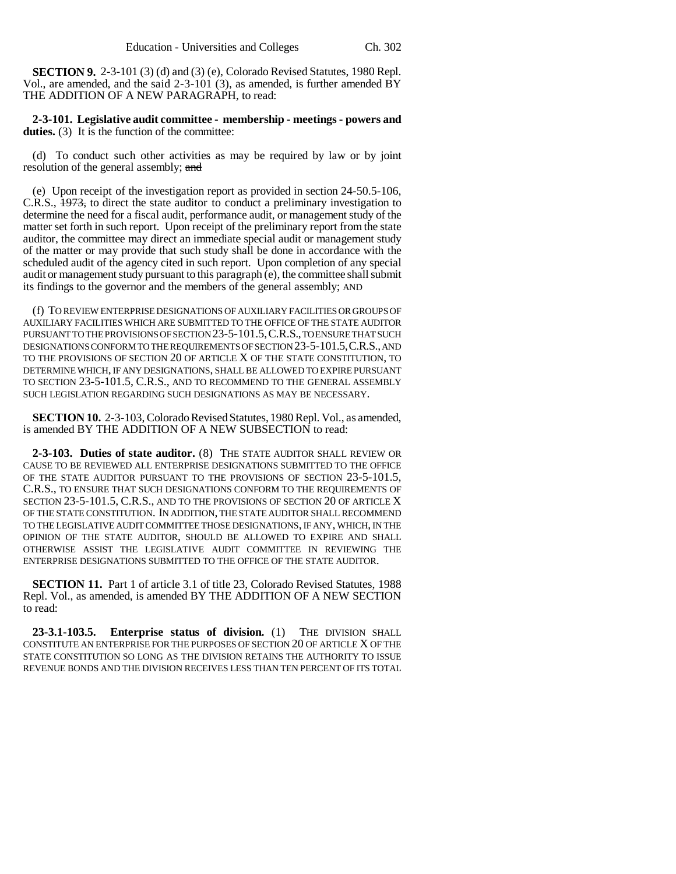**SECTION 9.** 2-3-101 (3) (d) and (3) (e), Colorado Revised Statutes, 1980 Repl. Vol., are amended, and the said  $2-3-101$  (3), as amended, is further amended  $\overline{BY}$ THE ADDITION OF A NEW PARAGRAPH, to read:

**2-3-101. Legislative audit committee - membership - meetings - powers and duties.** (3) It is the function of the committee:

(d) To conduct such other activities as may be required by law or by joint resolution of the general assembly; and

(e) Upon receipt of the investigation report as provided in section 24-50.5-106, C.R.S.,  $\frac{1973}{1973}$ , to direct the state auditor to conduct a preliminary investigation to determine the need for a fiscal audit, performance audit, or management study of the matter set forth in such report. Upon receipt of the preliminary report from the state auditor, the committee may direct an immediate special audit or management study of the matter or may provide that such study shall be done in accordance with the scheduled audit of the agency cited in such report. Upon completion of any special audit or management study pursuant to this paragraph  $(e)$ , the committee shall submit its findings to the governor and the members of the general assembly; AND

(f) TO REVIEW ENTERPRISE DESIGNATIONS OF AUXILIARY FACILITIES OR GROUPS OF AUXILIARY FACILITIES WHICH ARE SUBMITTED TO THE OFFICE OF THE STATE AUDITOR PURSUANT TO THE PROVISIONS OF SECTION 23-5-101.5, C.R.S., TO ENSURE THAT SUCH DESIGNATIONS CONFORM TO THE REQUIREMENTS OF SECTION 23-5-101.5,C.R.S., AND TO THE PROVISIONS OF SECTION 20 OF ARTICLE X OF THE STATE CONSTITUTION, TO DETERMINE WHICH, IF ANY DESIGNATIONS, SHALL BE ALLOWED TO EXPIRE PURSUANT TO SECTION 23-5-101.5, C.R.S., AND TO RECOMMEND TO THE GENERAL ASSEMBLY SUCH LEGISLATION REGARDING SUCH DESIGNATIONS AS MAY BE NECESSARY.

**SECTION 10.** 2-3-103, Colorado Revised Statutes, 1980 Repl. Vol., as amended, is amended BY THE ADDITION OF A NEW SUBSECTION to read:

**2-3-103. Duties of state auditor.** (8) THE STATE AUDITOR SHALL REVIEW OR CAUSE TO BE REVIEWED ALL ENTERPRISE DESIGNATIONS SUBMITTED TO THE OFFICE OF THE STATE AUDITOR PURSUANT TO THE PROVISIONS OF SECTION 23-5-101.5, C.R.S., TO ENSURE THAT SUCH DESIGNATIONS CONFORM TO THE REQUIREMENTS OF SECTION 23-5-101.5, C.R.S., AND TO THE PROVISIONS OF SECTION 20 OF ARTICLE X OF THE STATE CONSTITUTION. IN ADDITION, THE STATE AUDITOR SHALL RECOMMEND TO THE LEGISLATIVE AUDIT COMMITTEE THOSE DESIGNATIONS, IF ANY, WHICH, IN THE OPINION OF THE STATE AUDITOR, SHOULD BE ALLOWED TO EXPIRE AND SHALL OTHERWISE ASSIST THE LEGISLATIVE AUDIT COMMITTEE IN REVIEWING THE ENTERPRISE DESIGNATIONS SUBMITTED TO THE OFFICE OF THE STATE AUDITOR.

**SECTION 11.** Part 1 of article 3.1 of title 23, Colorado Revised Statutes, 1988 Repl. Vol., as amended, is amended BY THE ADDITION OF A NEW SECTION to read:

**23-3.1-103.5. Enterprise status of division.** (1) THE DIVISION SHALL CONSTITUTE AN ENTERPRISE FOR THE PURPOSES OF SECTION 20 OF ARTICLE X OF THE STATE CONSTITUTION SO LONG AS THE DIVISION RETAINS THE AUTHORITY TO ISSUE REVENUE BONDS AND THE DIVISION RECEIVES LESS THAN TEN PERCENT OF ITS TOTAL